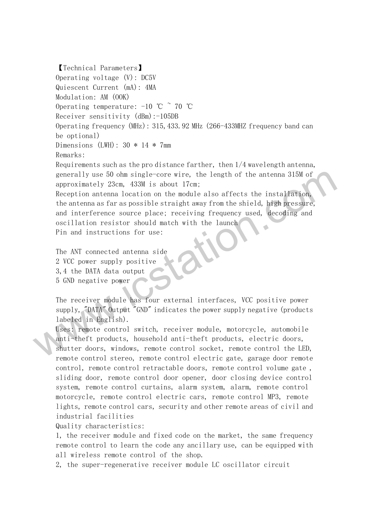【Technical Parameters】 Operating voltage (V): DC5V Quiescent Current (mA): 4MA Modulation: AM (OOK) Operating temperature:  $-10$  °C  $\degree$  70 °C Receiver sensitivity (dBm):-105DB Operating frequency (MHz): 315,433.92 MHz (266-433MHZ frequency band can be optional) Dimensions (LWH): 30 \* 14 \* 7mm Remarks:Requirements such as the pro distance farther, then 1/4 wavelength antenna, generally use 50 ohm single-core wire, the length of the antenna 315M of approximately 23cm, 433M is about 17cm; Reception antenna location on the module also affects the installation, the antenna as far as possible straight away from the shield, high pressure, and interference source place; receiving frequency used, decoding and generally use 50 ohm single-core wire, the length of the antenna 315M of<br>approximately 23cm, 433M is about 17cm;<br>Reception antenna location on the module also affects the installation,<br>the antenna as far as possible straig

oscillation resistor should match with the launch

Pin and instructions for use:

The ANT connected antenna side 2 VCC power supply positive 3,4 the DATA data output 5 GND negative power

The receiver module has four external interfaces, VCC positive power supply, "DATA" Output "GND" indicates the power supply negative (products labeled in English).

Uses: remote control switch, receiver module, motorcycle, automobile anti-theft products, household anti-theft products, electric doors, shutter doors, windows, remote control socket, remote control the LED, remote control stereo, remote control electric gate, garage door remote control, remote control retractable doors, remote control volume gate , sliding door, remote control door opener, door closing device control system, remote control curtains, alarm system, alarm, remote control motorcycle, remote control electric cars, remote control MP3, remote lights, remote control cars, security and other remote areas of civil and industrial facilities

Quality characteristics:

1, the receiver module and fixed code on the market, the same frequency remote control to learn the code any ancillary use, can be equipped with all wireless remote control of the shop.

2, the super-regenerative receiver module LC oscillator circuit